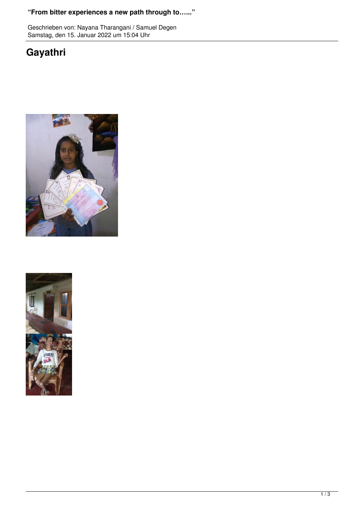## **"From bitter experiences a new path through to…..."**

Geschrieben von: Nayana Tharangani / Samuel Degen Samstag, den 15. Januar 2022 um 15:04 Uhr

## **Gayathri**



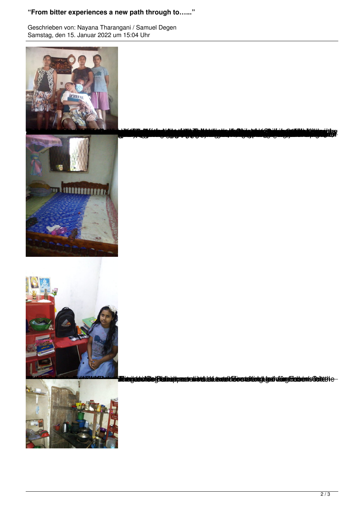## **"From bitter experiences a new path through to…..."**

Geschrieben von: Nayana Tharangani / Samuel Degen Samstag, den 15. Januar 2022 um 15:04 Uhr

Ĩ